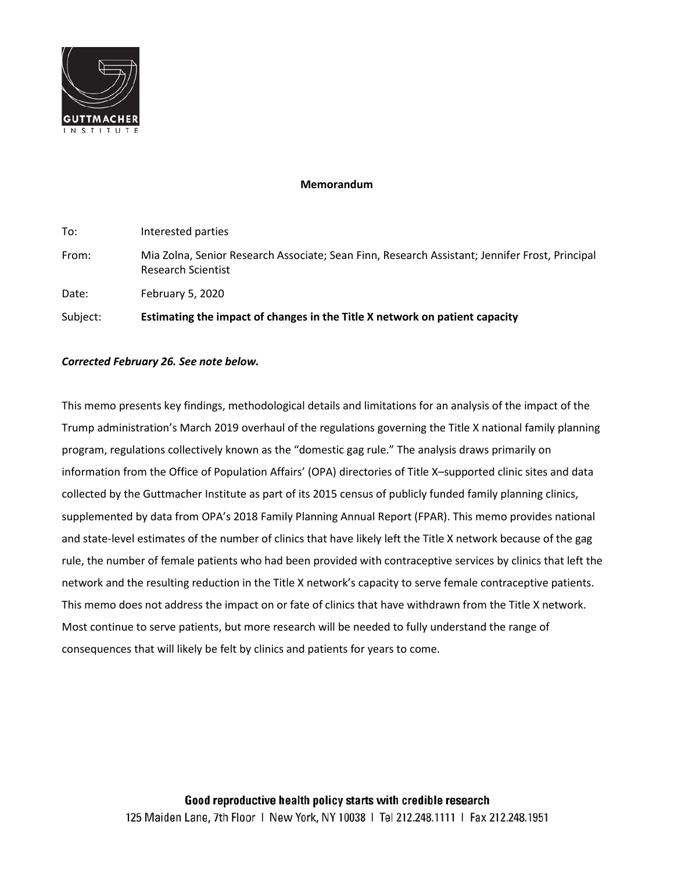

# **Memorandum**

| Estimating the impact of changes in the Title X network on patient capacity<br>Subject: |                                                                                                                             |  |  |
|-----------------------------------------------------------------------------------------|-----------------------------------------------------------------------------------------------------------------------------|--|--|
| Date:                                                                                   | February 5, 2020                                                                                                            |  |  |
| From:                                                                                   | Mia Zolna, Senior Research Associate; Sean Finn, Research Assistant; Jennifer Frost, Principal<br><b>Research Scientist</b> |  |  |
| To:                                                                                     | Interested parties                                                                                                          |  |  |

# *Corrected February 26. See note below.*

This memo presents key findings, methodological details and limitations for an analysis of the impact of the Trump administration's March 2019 overhaul of the regulations governing the Title X national family planning program, regulations collectively known as the "domestic gag rule." The analysis draws primarily on information from the Office of Population Affairs' (OPA) directories of Title X–supported clinic sites and data collected by the Guttmacher Institute as part of its 2015 census of publicly funded family planning clinics, supplemented by data from OPA's 2018 Family Planning Annual Report (FPAR). This memo provides national and state-level estimates of the number of clinics that have likely left the Title X network because of the gag rule, the number of female patients who had been provided with contraceptive services by clinics that left the network and the resulting reduction in the Title X network's capacity to serve female contraceptive patients. This memo does not address the impact on or fate of clinics that have withdrawn from the Title X network. Most continue to serve patients, but more research will be needed to fully understand the range of consequences that will likely be felt by clinics and patients for years to come.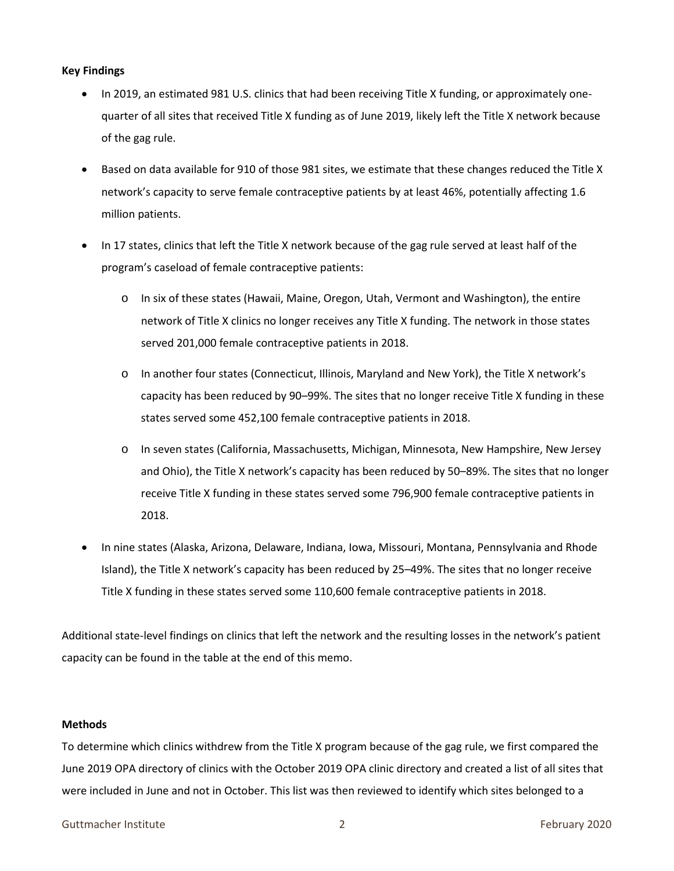## **Key Findings**

- In 2019, an estimated 981 U.S. clinics that had been receiving Title X funding, or approximately onequarter of all sites that received Title X funding as of June 2019, likely left the Title X network because of the gag rule.
- Based on data available for 910 of those 981 sites, we estimate that these changes reduced the Title X network's capacity to serve female contraceptive patients by at least 46%, potentially affecting 1.6 million patients.
- In 17 states, clinics that left the Title X network because of the gag rule served at least half of the program's caseload of female contraceptive patients:
	- o In six of these states (Hawaii, Maine, Oregon, Utah, Vermont and Washington), the entire network of Title X clinics no longer receives any Title X funding. The network in those states served 201,000 female contraceptive patients in 2018.
	- o In another four states (Connecticut, Illinois, Maryland and New York), the Title X network's capacity has been reduced by 90–99%. The sites that no longer receive Title X funding in these states served some 452,100 female contraceptive patients in 2018.
	- o In seven states (California, Massachusetts, Michigan, Minnesota, New Hampshire, New Jersey and Ohio), the Title X network's capacity has been reduced by 50–89%. The sites that no longer receive Title X funding in these states served some 796,900 female contraceptive patients in 2018.
- In nine states (Alaska, Arizona, Delaware, Indiana, Iowa, Missouri, Montana, Pennsylvania and Rhode Island), the Title X network's capacity has been reduced by 25–49%. The sites that no longer receive Title X funding in these states served some 110,600 female contraceptive patients in 2018.

Additional state-level findings on clinics that left the network and the resulting losses in the network's patient capacity can be found in the table at the end of this memo.

#### **Methods**

To determine which clinics withdrew from the Title X program because of the gag rule, we first compared the June 2019 OPA directory of clinics with the October 2019 OPA clinic directory and created a list of all sites that were included in June and not in October. This list was then reviewed to identify which sites belonged to a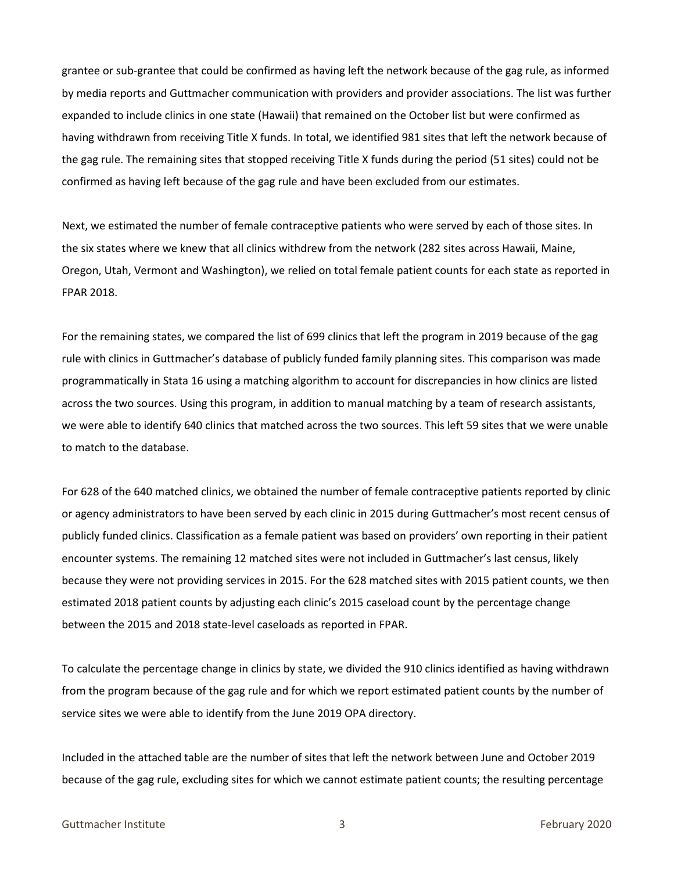grantee or sub-grantee that could be confirmed as having left the network because of the gag rule, as informed by media reports and Guttmacher communication with providers and provider associations. The list was further expanded to include clinics in one state (Hawaii) that remained on the October list but were confirmed as having withdrawn from receiving Title X funds. In total, we identified 981 sites that left the network because of the gag rule. The remaining sites that stopped receiving Title X funds during the period (51 sites) could not be confirmed as having left because of the gag rule and have been excluded from our estimates.

Next, we estimated the number of female contraceptive patients who were served by each of those sites. In the six states where we knew that all clinics withdrew from the network (282 sites across Hawaii, Maine, Oregon, Utah, Vermont and Washington), we relied on total female patient counts for each state as reported in FPAR 2018.

For the remaining states, we compared the list of 699 clinics that left the program in 2019 because of the gag rule with clinics in Guttmacher's database of publicly funded family planning sites. This comparison was made programmatically in Stata 16 using a matching algorithm to account for discrepancies in how clinics are listed across the two sources. Using this program, in addition to manual matching by a team of research assistants, we were able to identify 640 clinics that matched across the two sources. This left 59 sites that we were unable to match to the database.

For 628 of the 640 matched clinics, we obtained the number of female contraceptive patients reported by clinic or agency administrators to have been served by each clinic in 2015 during Guttmacher's most recent census of publicly funded clinics. Classification as a female patient was based on providers' own reporting in their patient encounter systems. The remaining 12 matched sites were not included in Guttmacher's last census, likely because they were not providing services in 2015. For the 628 matched sites with 2015 patient counts, we then estimated 2018 patient counts by adjusting each clinic's 2015 caseload count by the percentage change between the 2015 and 2018 state-level caseloads as reported in FPAR.

To calculate the percentage change in clinics by state, we divided the 910 clinics identified as having withdrawn from the program because of the gag rule and for which we report estimated patient counts by the number of service sites we were able to identify from the June 2019 OPA directory.

Included in the attached table are the number of sites that left the network between June and October 2019 because of the gag rule, excluding sites for which we cannot estimate patient counts; the resulting percentage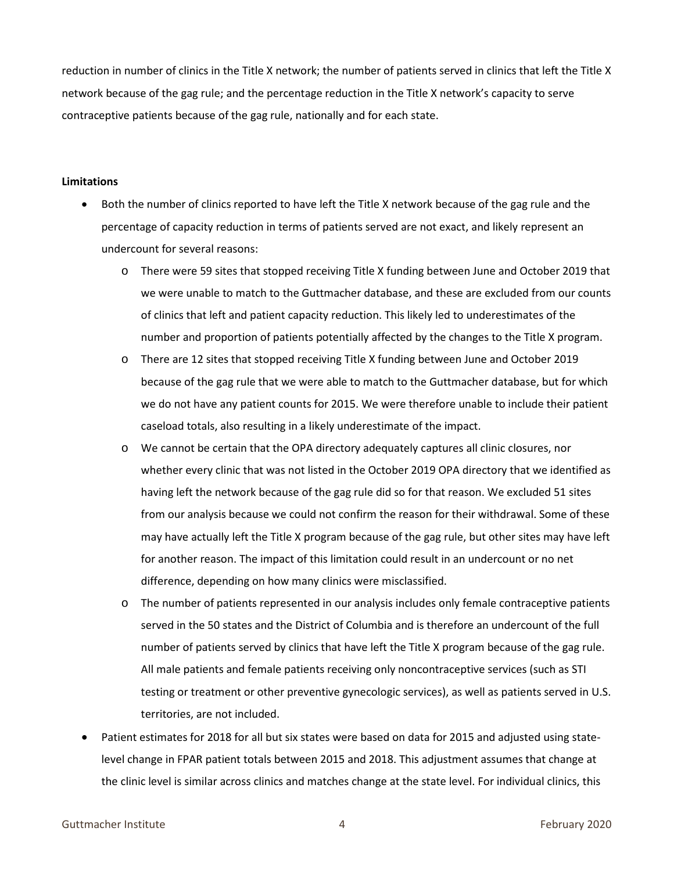reduction in number of clinics in the Title X network; the number of patients served in clinics that left the Title X network because of the gag rule; and the percentage reduction in the Title X network's capacity to serve contraceptive patients because of the gag rule, nationally and for each state.

### **Limitations**

- Both the number of clinics reported to have left the Title X network because of the gag rule and the percentage of capacity reduction in terms of patients served are not exact, and likely represent an undercount for several reasons:
	- o There were 59 sites that stopped receiving Title X funding between June and October 2019 that we were unable to match to the Guttmacher database, and these are excluded from our counts of clinics that left and patient capacity reduction. This likely led to underestimates of the number and proportion of patients potentially affected by the changes to the Title X program.
	- o There are 12 sites that stopped receiving Title X funding between June and October 2019 because of the gag rule that we were able to match to the Guttmacher database, but for which we do not have any patient counts for 2015. We were therefore unable to include their patient caseload totals, also resulting in a likely underestimate of the impact.
	- o We cannot be certain that the OPA directory adequately captures all clinic closures, nor whether every clinic that was not listed in the October 2019 OPA directory that we identified as having left the network because of the gag rule did so for that reason. We excluded 51 sites from our analysis because we could not confirm the reason for their withdrawal. Some of these may have actually left the Title X program because of the gag rule, but other sites may have left for another reason. The impact of this limitation could result in an undercount or no net difference, depending on how many clinics were misclassified.
	- o The number of patients represented in our analysis includes only female contraceptive patients served in the 50 states and the District of Columbia and is therefore an undercount of the full number of patients served by clinics that have left the Title X program because of the gag rule. All male patients and female patients receiving only noncontraceptive services (such as STI testing or treatment or other preventive gynecologic services), as well as patients served in U.S. territories, are not included.
- Patient estimates for 2018 for all but six states were based on data for 2015 and adjusted using statelevel change in FPAR patient totals between 2015 and 2018. This adjustment assumes that change at the clinic level is similar across clinics and matches change at the state level. For individual clinics, this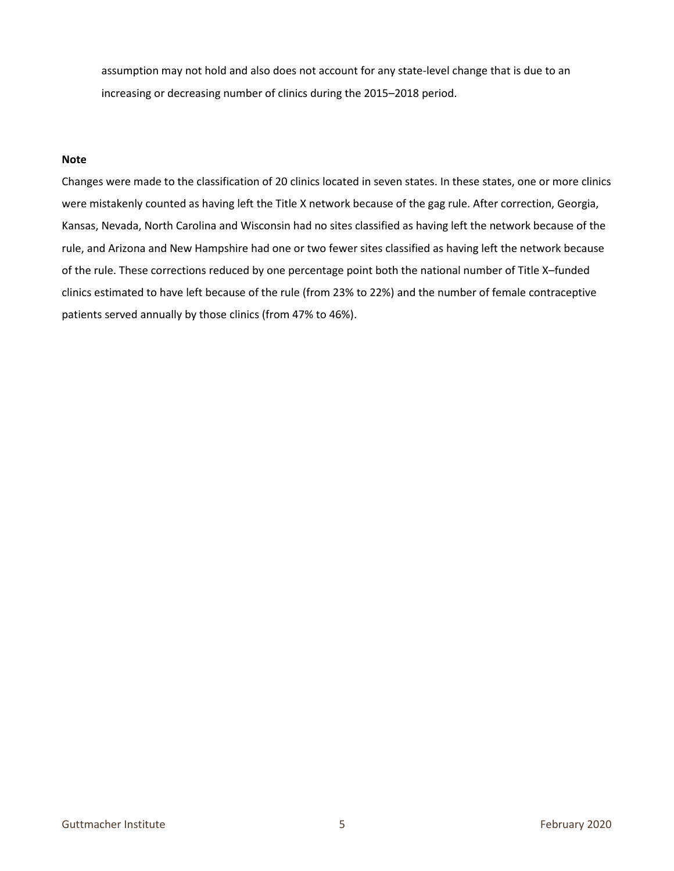assumption may not hold and also does not account for any state-level change that is due to an increasing or decreasing number of clinics during the 2015–2018 period.

### **Note**

Changes were made to the classification of 20 clinics located in seven states. In these states, one or more clinics were mistakenly counted as having left the Title X network because of the gag rule. After correction, Georgia, Kansas, Nevada, North Carolina and Wisconsin had no sites classified as having left the network because of the rule, and Arizona and New Hampshire had one or two fewer sites classified as having left the network because of the rule. These corrections reduced by one percentage point both the national number of Title X–funded clinics estimated to have left because of the rule (from 23% to 22%) and the number of female contraceptive patients served annually by those clinics (from 47% to 46%).